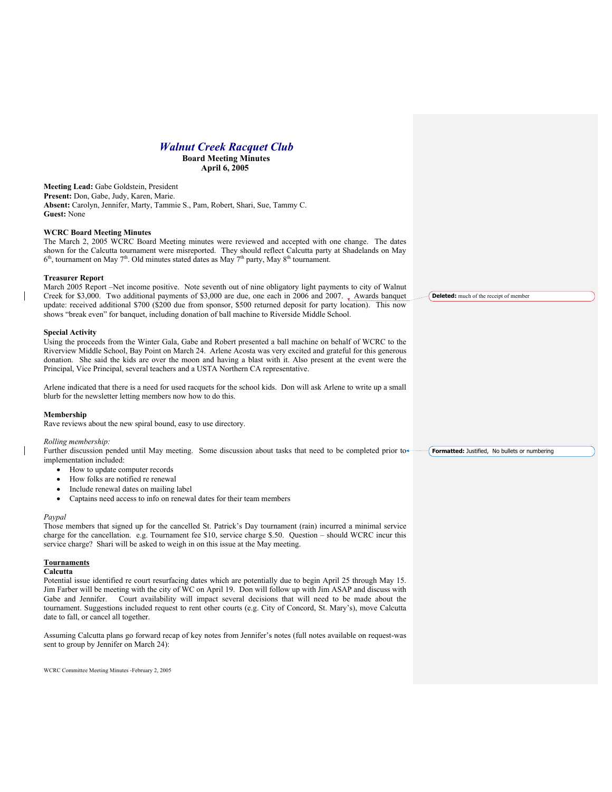# *Walnut Creek Racquet Club*

**Board Meeting Minutes April 6, 2005**

**Meeting Lead:** Gabe Goldstein, President **Present:** Don, Gabe, Judy, Karen, Marie. **Absent:** Carolyn, Jennifer, Marty, Tammie S., Pam, Robert, Shari, Sue, Tammy C. **Guest:** None

# **WCRC Board Meeting Minutes**

The March 2, 2005 WCRC Board Meeting minutes were reviewed and accepted with one change. The dates shown for the Calcutta tournament were misreported. They should reflect Calcutta party at Shadelands on May  $6<sup>th</sup>$ , tournament on May 7<sup>th</sup>. Old minutes stated dates as May 7<sup>th</sup> party, May 8<sup>th</sup> tournament.

#### **Treasurer Report**

March 2005 Report –Net income positive. Note seventh out of nine obligatory light payments to city of Walnut Creek for \$3,000. Two additional payments of \$3,000 are due, one each in 2006 and 2007. Awards banquet update: received additional \$700 (\$200 due from sponsor, \$500 returned deposit for party location). This now shows "break even" for banquet, including donation of ball machine to Riverside Middle School.

#### **Special Activity**

Using the proceeds from the Winter Gala, Gabe and Robert presented a ball machine on behalf of WCRC to the Riverview Middle School, Bay Point on March 24. Arlene Acosta was very excited and grateful for this generous donation. She said the kids are over the moon and having a blast with it. Also present at the event were the Principal, Vice Principal, several teachers and a USTA Northern CA representative.

Arlene indicated that there is a need for used racquets for the school kids. Don will ask Arlene to write up a small blurb for the newsletter letting members now how to do this.

#### **Membership**

Rave reviews about the new spiral bound, easy to use directory.

#### *Rolling membership:*

Further discussion pended until May meeting. Some discussion about tasks that need to be completed prior to implementation included: **Formatted:** Justified, No bullets or numbering

- How to update computer records
- How folks are notified re renewal
- Include renewal dates on mailing label
- Captains need access to info on renewal dates for their team members

#### *Paypal*

Those members that signed up for the cancelled St. Patrick's Day tournament (rain) incurred a minimal service charge for the cancellation. e.g. Tournament fee \$10, service charge \$.50. Question – should WCRC incur this service charge? Shari will be asked to weigh in on this issue at the May meeting.

#### **Tournaments**

#### **Calcutta**

Potential issue identified re court resurfacing dates which are potentially due to begin April 25 through May 15. Jim Farber will be meeting with the city of WC on April 19. Don will follow up with Jim ASAP and discuss with Gabe and Jennifer. Court availability will impact several decisions that will need to be made about the tournament. Suggestions included request to rent other courts (e.g. City of Concord, St. Mary's), move Calcutta date to fall, or cancel all together.

Assuming Calcutta plans go forward recap of key notes from Jennifer's notes (full notes available on request-was sent to group by Jennifer on March 24):

WCRC Committee Meeting Minutes -February 2, 2005

**Deleted:** much of the receipt of member